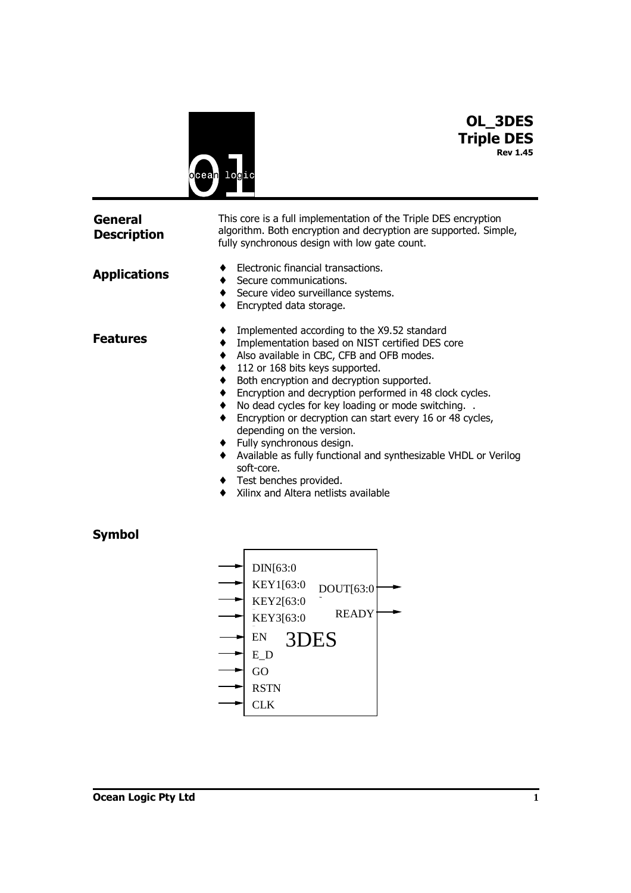

# **OL\_3DES Triple DES Rev 1.45**

| <b>General</b><br><b>Description</b> | This core is a full implementation of the Triple DES encryption<br>algorithm. Both encryption and decryption are supported. Simple,<br>fully synchronous design with low gate count.                                                                                                                                                                                                                                                                                                                                                                                                                                                                              |  |  |  |  |
|--------------------------------------|-------------------------------------------------------------------------------------------------------------------------------------------------------------------------------------------------------------------------------------------------------------------------------------------------------------------------------------------------------------------------------------------------------------------------------------------------------------------------------------------------------------------------------------------------------------------------------------------------------------------------------------------------------------------|--|--|--|--|
| <b>Applications</b>                  | Electronic financial transactions.<br>Secure communications.<br>Secure video surveillance systems.<br>Encrypted data storage.                                                                                                                                                                                                                                                                                                                                                                                                                                                                                                                                     |  |  |  |  |
| <b>Features</b>                      | Implemented according to the X9.52 standard<br>٠<br>Implementation based on NIST certified DES core<br>٠<br>Also available in CBC, CFB and OFB modes.<br>٠<br>112 or 168 bits keys supported.<br>٠<br>Both encryption and decryption supported.<br>٠<br>Encryption and decryption performed in 48 clock cycles.<br>٠<br>No dead cycles for key loading or mode switching<br>٠<br>Encryption or decryption can start every 16 or 48 cycles,<br>٠<br>depending on the version.<br>Fully synchronous design.<br>٠<br>Available as fully functional and synthesizable VHDL or Verilog<br>soft-core.<br>Test benches provided.<br>Xilinx and Altera netlists available |  |  |  |  |
| <b>Symbol</b>                        | DIN[63:0<br>KEY1[63:0<br>DOUT[63:0<br>KEY2[63:0<br><b>READY</b><br>KEY3[63:0<br>►<br>EN<br>3DES<br>E D<br>GO                                                                                                                                                                                                                                                                                                                                                                                                                                                                                                                                                      |  |  |  |  |

CLK RSTN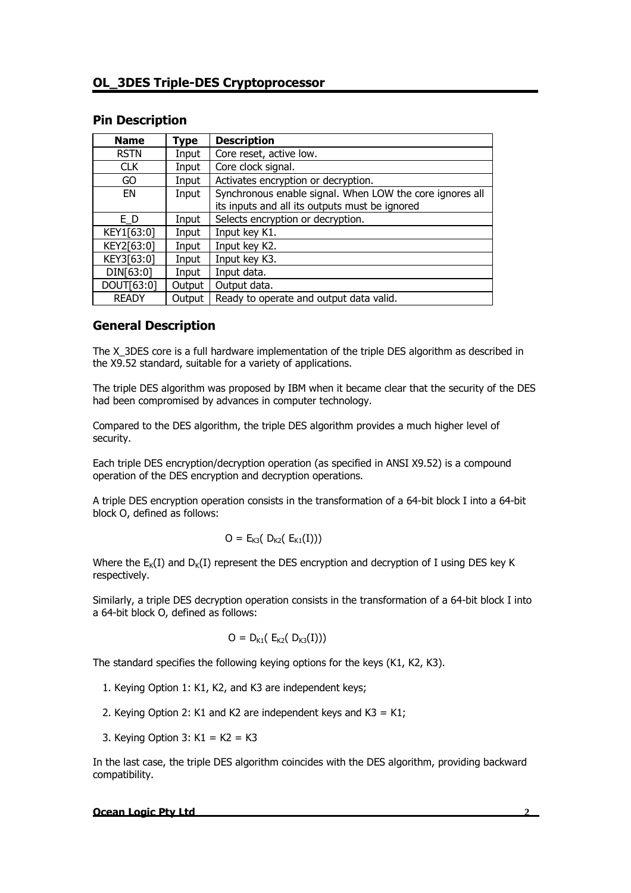#### **Pin Description**

| <b>Name</b>  | Type   | <b>Description</b>                                       |
|--------------|--------|----------------------------------------------------------|
| <b>RSTN</b>  | Input  | Core reset, active low.                                  |
| <b>CLK</b>   | Input  | Core clock signal.                                       |
| GO           | Input  | Activates encryption or decryption.                      |
| EN           | Input  | Synchronous enable signal. When LOW the core ignores all |
|              |        | its inputs and all its outputs must be ignored           |
| E D          | Input  | Selects encryption or decryption.                        |
| KEY1[63:0]   | Input  | Input key K1.                                            |
| KEY2[63:0]   | Input  | Input key K2.                                            |
| KEY3[63:0]   | Input  | Input key K3.                                            |
| DIN[63:0]    | Input  | Input data.                                              |
| DOUT[63:0]   | Output | Output data.                                             |
| <b>READY</b> | Output | Ready to operate and output data valid.                  |

### **General Description**

The X 3DES core is a full hardware implementation of the triple DES algorithm as described in the X9.52 standard, suitable for a variety of applications.

The triple DES algorithm was proposed by IBM when it became clear that the security of the DES had been compromised by advances in computer technology.

Compared to the DES algorithm, the triple DES algorithm provides a much higher level of security.

Each triple DES encryption/decryption operation (as specified in ANSI X9.52) is a compound operation of the DES encryption and decryption operations.

A triple DES encryption operation consists in the transformation of a 64-bit block I into a 64-bit block O, defined as follows:

$$
O = E_{K3}( D_{K2}( E_{K1}(I)))
$$

Where the  $E_K(I)$  and  $D_K(I)$  represent the DES encryption and decryption of I using DES key K respectively.

Similarly, a triple DES decryption operation consists in the transformation of a 64-bit block I into a 64-bit block O, defined as follows:

$$
O = D_{K1}( E_{K2}( D_{K3}(I)))
$$

The standard specifies the following keying options for the keys (K1, K2, K3).

- 1. Keying Option 1: K1, K2, and K3 are independent keys;
- 2. Keying Option 2: K1 and K2 are independent keys and K3 = K1;
- 3. Keying Option 3:  $K1 = K2 = K3$

In the last case, the triple DES algorithm coincides with the DES algorithm, providing backward compatibility.

#### **Ocean Logic Pty Ltd 2**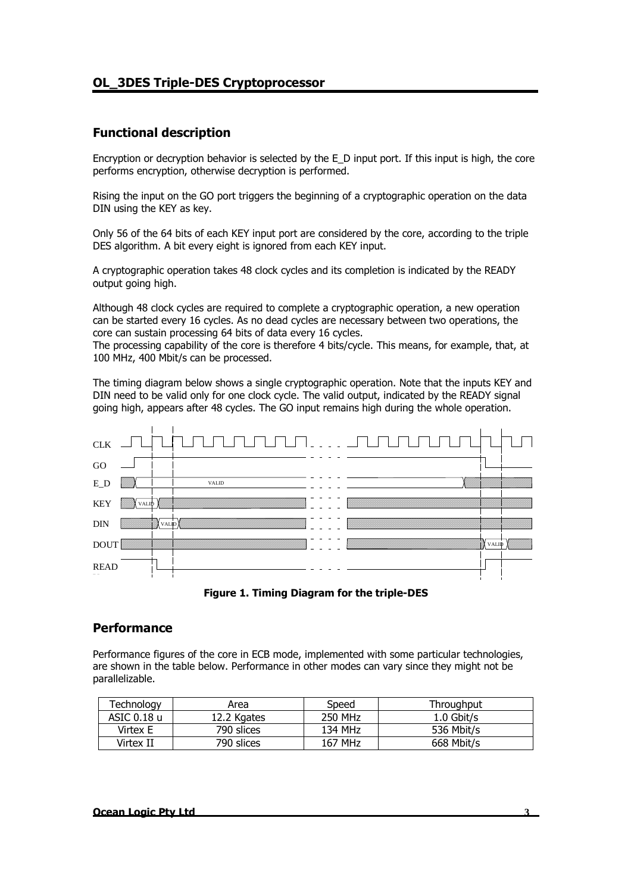# **OL\_3DES Triple-DES Cryptoprocessor**

# **Functional description**

Encryption or decryption behavior is selected by the E\_D input port. If this input is high, the core performs encryption, otherwise decryption is performed.

Rising the input on the GO port triggers the beginning of a cryptographic operation on the data DIN using the KEY as key.

Only 56 of the 64 bits of each KEY input port are considered by the core, according to the triple DES algorithm. A bit every eight is ignored from each KEY input.

A cryptographic operation takes 48 clock cycles and its completion is indicated by the READY output going high.

Although 48 clock cycles are required to complete a cryptographic operation, a new operation can be started every 16 cycles. As no dead cycles are necessary between two operations, the core can sustain processing 64 bits of data every 16 cycles.

The processing capability of the core is therefore 4 bits/cycle. This means, for example, that, at 100 MHz, 400 Mbit/s can be processed.

The timing diagram below shows a single cryptographic operation. Note that the inputs KEY and DIN need to be valid only for one clock cycle. The valid output, indicated by the READY signal going high, appears after 48 cycles. The GO input remains high during the whole operation.





#### **Performance**

Performance figures of the core in ECB mode, implemented with some particular technologies, are shown in the table below. Performance in other modes can vary since they might not be parallelizable.

| Technology  | Area        | Speed   | Throughput   |
|-------------|-------------|---------|--------------|
| ASIC 0.18 u | 12.2 Kgates | 250 MHz | $1.0$ Gbit/s |
| Virtex E    | 790 slices  | 134 MHz | 536 Mbit/s   |
| Virtex II   | 790 slices  | 167 MHz | 668 Mbit/s   |